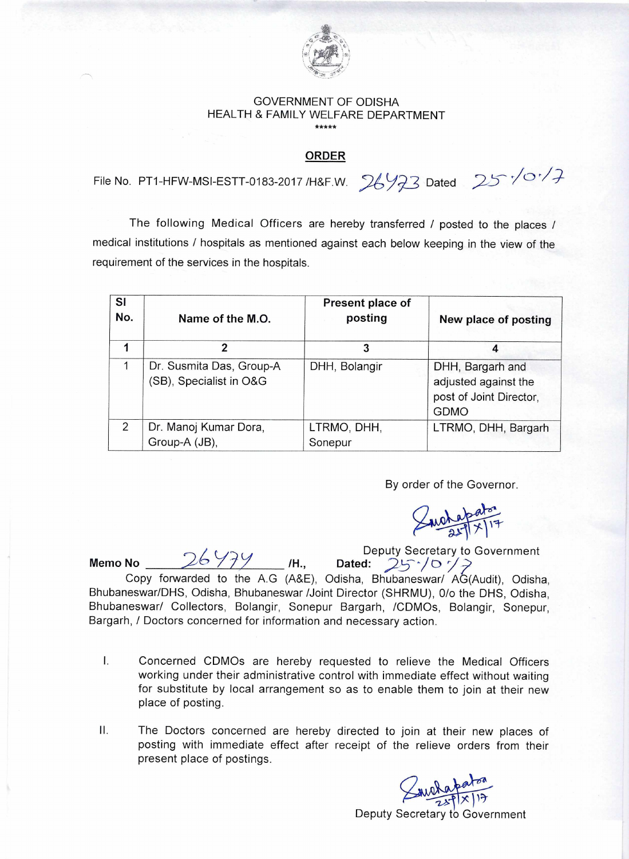

## GOVERNMENT OF ODISHA HEALTH & FAMILY WELFARE DEPARTMENT \*\*\*\*\*

## **ORDER**

File No. PT1-HFW-MSI-ESTT-0183-2017 / H&F.W.  $26\frac{123}$  Dated  $25\sqrt{0}\sqrt{7}$ 

The following Medical Officers are hereby transferred / posted to the places / medical institutions / hospitals as mentioned against each below keeping in the view of the requirement of the services in the hospitals.

| <b>SI</b><br>No. | Name of the M.O.                                    | Present place of<br>posting | New place of posting                                                               |
|------------------|-----------------------------------------------------|-----------------------------|------------------------------------------------------------------------------------|
| 1                | 2                                                   | 3                           | 4                                                                                  |
|                  | Dr. Susmita Das, Group-A<br>(SB), Specialist in O&G | DHH, Bolangir               | DHH, Bargarh and<br>adjusted against the<br>post of Joint Director,<br><b>GDMO</b> |
| $\mathcal{P}$    | Dr. Manoj Kumar Dora,<br>Group-A (JB),              | LTRMO, DHH,<br>Sonepur      | LTRMO, DHH, Bargarh                                                                |

By order of the Governor.

Deputy Secretary to Government

26 Y7Y H., Deputy Secretary to G<br>Memo No 25<sup>-1</sup>/07<sup>2</sup> Copy forwarded to the A.G (A&E), Odisha, Bhubaneswar/ AG(Audit), Odisha, Bhubaneswar/DHS, Odisha, Bhubaneswar /Joint Director (SHRMU), 0/o the DHS, Odisha, Bhubaneswar/ Collectors, Bolangir, Sonepur Bargarh, /CDMOs, Bolangir, Sonepur, Bargarh, / Doctors concerned for information and necessary action.

- I. Concerned CDMOs are hereby requested to relieve the Medical Officers working under their administrative control with immediate effect without waiting for substitute by local arrangement so as to enable them to join at their new place of posting.
- II. The Doctors concerned are hereby directed to join at their new places of posting with immediate effect after receipt of the relieve orders from their present place of postings.

welapaton

Deputy Secretary to Government